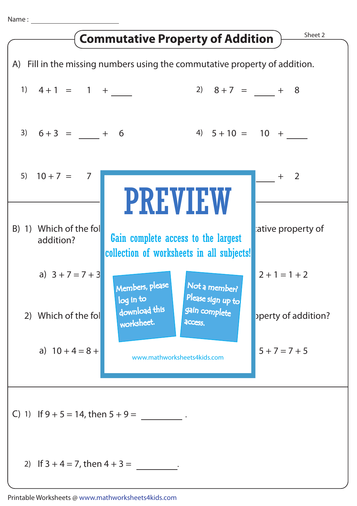